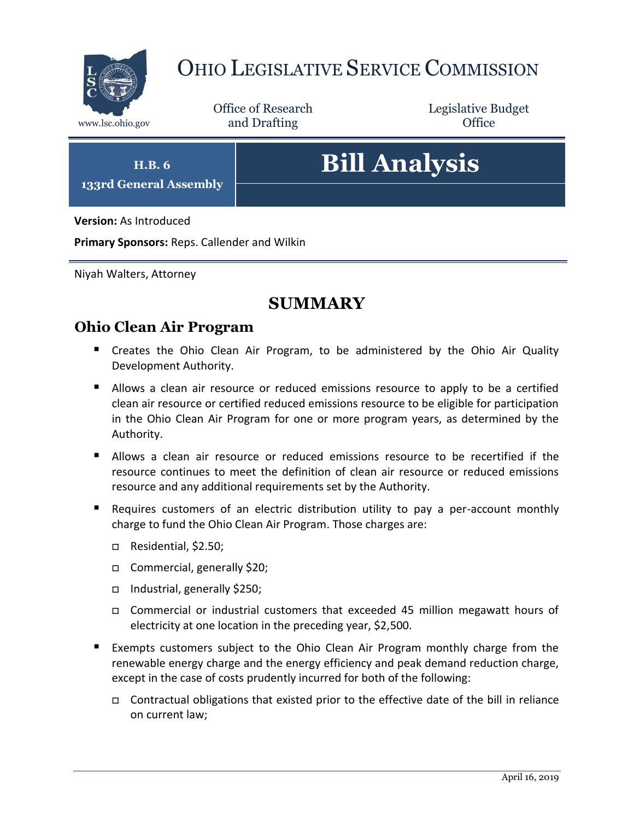

## OHIO LEGISLATIVE SERVICE COMMISSION

Office of Research www.lsc.ohio.gov and Drafting Control of Control of the Control of Control of the Control of Control of the Control of the Control of the Control of the Control of the Control of the Control of the Control of the Control o

Legislative Budget

**H.B. 6 133rd General Assembly**

# **Bill Analysis**

**Version:** As Introduced

**Primary Sponsors:** Reps. Callender and Wilkin

Niyah Walters, Attorney

## **SUMMARY**

#### **Ohio Clean Air Program**

- **E** Creates the Ohio Clean Air Program, to be administered by the Ohio Air Quality Development Authority.
- Allows a clean air resource or reduced emissions resource to apply to be a certified clean air resource or certified reduced emissions resource to be eligible for participation in the Ohio Clean Air Program for one or more program years, as determined by the Authority.
- Allows a clean air resource or reduced emissions resource to be recertified if the resource continues to meet the definition of clean air resource or reduced emissions resource and any additional requirements set by the Authority.
- Requires customers of an electric distribution utility to pay a per-account monthly charge to fund the Ohio Clean Air Program. Those charges are:
	- □ Residential, \$2.50;
	- □ Commercial, generally \$20;
	- Industrial, generally \$250;
	- Commercial or industrial customers that exceeded 45 million megawatt hours of electricity at one location in the preceding year, \$2,500.
- Exempts customers subject to the Ohio Clean Air Program monthly charge from the renewable energy charge and the energy efficiency and peak demand reduction charge, except in the case of costs prudently incurred for both of the following:
	- □ Contractual obligations that existed prior to the effective date of the bill in reliance on current law;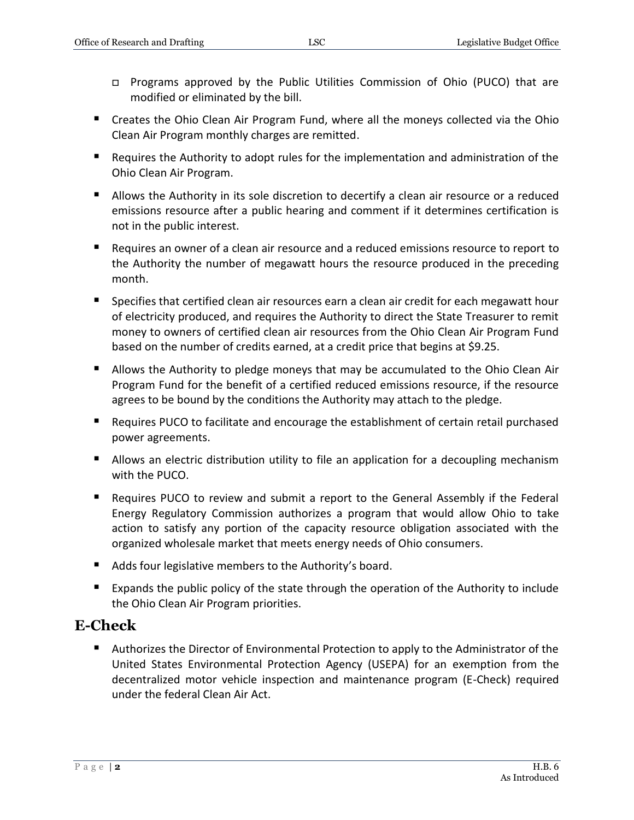- □ Programs approved by the Public Utilities Commission of Ohio (PUCO) that are modified or eliminated by the bill.
- Creates the Ohio Clean Air Program Fund, where all the moneys collected via the Ohio Clean Air Program monthly charges are remitted.
- Requires the Authority to adopt rules for the implementation and administration of the Ohio Clean Air Program.
- Allows the Authority in its sole discretion to decertify a clean air resource or a reduced emissions resource after a public hearing and comment if it determines certification is not in the public interest.
- Requires an owner of a clean air resource and a reduced emissions resource to report to the Authority the number of megawatt hours the resource produced in the preceding month.
- **Specifies that certified clean air resources earn a clean air credit for each megawatt hour** of electricity produced, and requires the Authority to direct the State Treasurer to remit money to owners of certified clean air resources from the Ohio Clean Air Program Fund based on the number of credits earned, at a credit price that begins at \$9.25.
- Allows the Authority to pledge moneys that may be accumulated to the Ohio Clean Air Program Fund for the benefit of a certified reduced emissions resource, if the resource agrees to be bound by the conditions the Authority may attach to the pledge.
- Requires PUCO to facilitate and encourage the establishment of certain retail purchased power agreements.
- **Allows an electric distribution utility to file an application for a decoupling mechanism** with the PUCO.
- Requires PUCO to review and submit a report to the General Assembly if the Federal Energy Regulatory Commission authorizes a program that would allow Ohio to take action to satisfy any portion of the capacity resource obligation associated with the organized wholesale market that meets energy needs of Ohio consumers.
- Adds four legislative members to the Authority's board.
- **Expands the public policy of the state through the operation of the Authority to include** the Ohio Clean Air Program priorities.

## **E-Check**

■ Authorizes the Director of Environmental Protection to apply to the Administrator of the United States Environmental Protection Agency (USEPA) for an exemption from the decentralized motor vehicle inspection and maintenance program (E-Check) required under the federal Clean Air Act.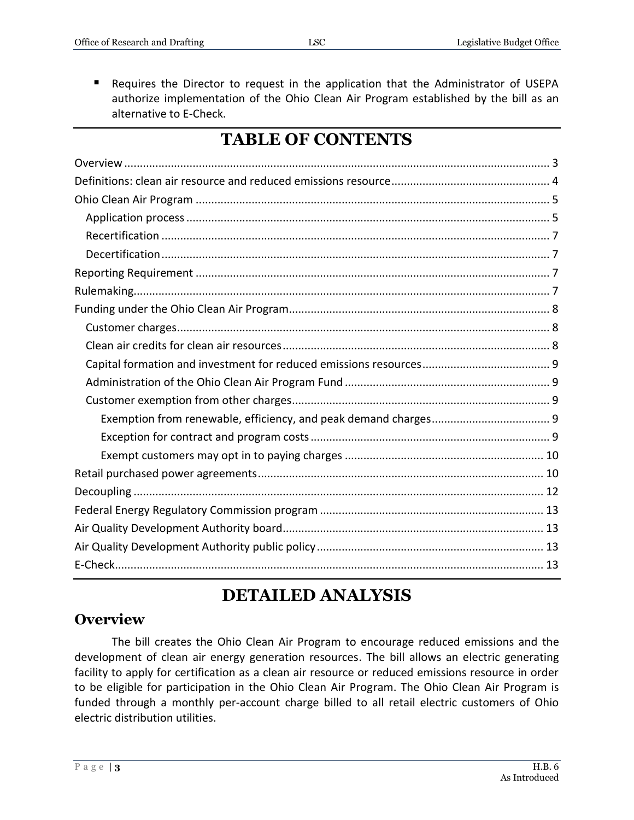Requires the Director to request in the application that the Administrator of USEPA authorize implementation of the Ohio Clean Air Program established by the bill as an alternative to E-Check.

## **TABLE OF CONTENTS**

## **DETAILED ANALYSIS**

## <span id="page-2-0"></span>**Overview**

The bill creates the Ohio Clean Air Program to encourage reduced emissions and the development of clean air energy generation resources. The bill allows an electric generating facility to apply for certification as a clean air resource or reduced emissions resource in order to be eligible for participation in the Ohio Clean Air Program. The Ohio Clean Air Program is funded through a monthly per-account charge billed to all retail electric customers of Ohio electric distribution utilities.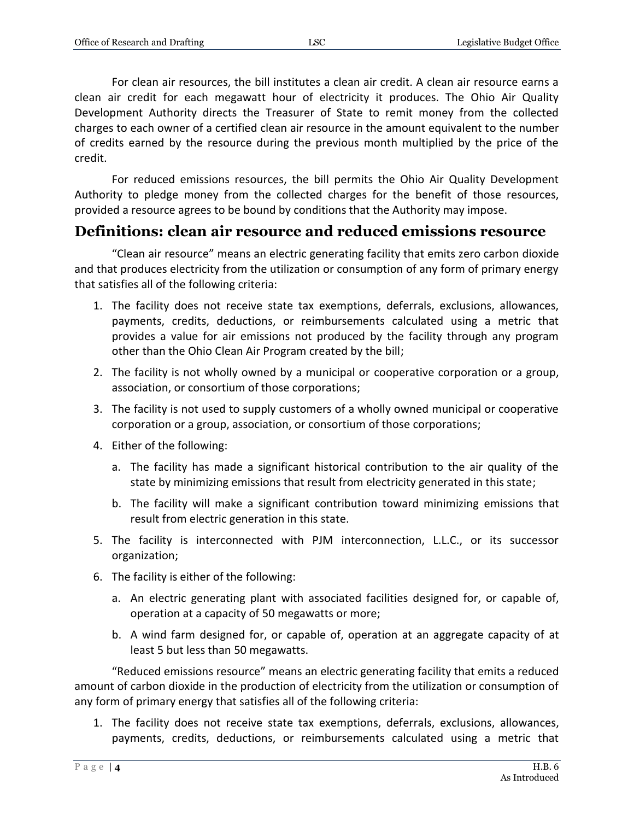For clean air resources, the bill institutes a clean air credit. A clean air resource earns a clean air credit for each megawatt hour of electricity it produces. The Ohio Air Quality Development Authority directs the Treasurer of State to remit money from the collected charges to each owner of a certified clean air resource in the amount equivalent to the number of credits earned by the resource during the previous month multiplied by the price of the credit.

For reduced emissions resources, the bill permits the Ohio Air Quality Development Authority to pledge money from the collected charges for the benefit of those resources, provided a resource agrees to be bound by conditions that the Authority may impose.

## <span id="page-3-0"></span>**Definitions: clean air resource and reduced emissions resource**

"Clean air resource" means an electric generating facility that emits zero carbon dioxide and that produces electricity from the utilization or consumption of any form of primary energy that satisfies all of the following criteria:

- 1. The facility does not receive state tax exemptions, deferrals, exclusions, allowances, payments, credits, deductions, or reimbursements calculated using a metric that provides a value for air emissions not produced by the facility through any program other than the Ohio Clean Air Program created by the bill;
- 2. The facility is not wholly owned by a municipal or cooperative corporation or a group, association, or consortium of those corporations;
- 3. The facility is not used to supply customers of a wholly owned municipal or cooperative corporation or a group, association, or consortium of those corporations;
- 4. Either of the following:
	- a. The facility has made a significant historical contribution to the air quality of the state by minimizing emissions that result from electricity generated in this state;
	- b. The facility will make a significant contribution toward minimizing emissions that result from electric generation in this state.
- 5. The facility is interconnected with PJM interconnection, L.L.C., or its successor organization;
- 6. The facility is either of the following:
	- a. An electric generating plant with associated facilities designed for, or capable of, operation at a capacity of 50 megawatts or more;
	- b. A wind farm designed for, or capable of, operation at an aggregate capacity of at least 5 but less than 50 megawatts.

"Reduced emissions resource" means an electric generating facility that emits a reduced amount of carbon dioxide in the production of electricity from the utilization or consumption of any form of primary energy that satisfies all of the following criteria:

1. The facility does not receive state tax exemptions, deferrals, exclusions, allowances, payments, credits, deductions, or reimbursements calculated using a metric that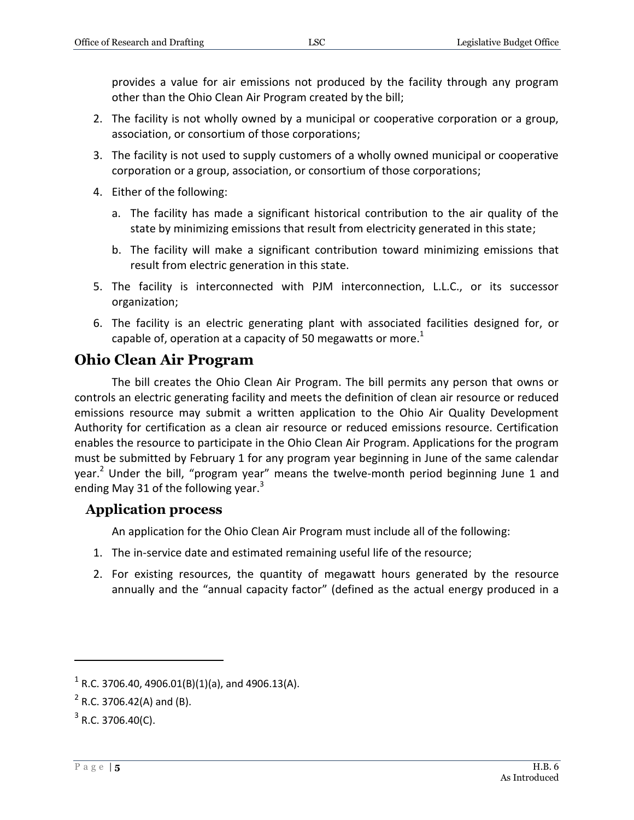- 2. The facility is not wholly owned by a municipal or cooperative corporation or a group, association, or consortium of those corporations;
- 3. The facility is not used to supply customers of a wholly owned municipal or cooperative corporation or a group, association, or consortium of those corporations;
- 4. Either of the following:
	- a. The facility has made a significant historical contribution to the air quality of the state by minimizing emissions that result from electricity generated in this state;
	- b. The facility will make a significant contribution toward minimizing emissions that result from electric generation in this state.
- 5. The facility is interconnected with PJM interconnection, L.L.C., or its successor organization;
- 6. The facility is an electric generating plant with associated facilities designed for, or capable of, operation at a capacity of 50 megawatts or more.<sup>1</sup>

## <span id="page-4-0"></span>**Ohio Clean Air Program**

The bill creates the Ohio Clean Air Program. The bill permits any person that owns or controls an electric generating facility and meets the definition of clean air resource or reduced emissions resource may submit a written application to the Ohio Air Quality Development Authority for certification as a clean air resource or reduced emissions resource. Certification enables the resource to participate in the Ohio Clean Air Program. Applications for the program must be submitted by February 1 for any program year beginning in June of the same calendar year.<sup>2</sup> Under the bill, "program year" means the twelve-month period beginning June 1 and ending May 31 of the following year. $3$ 

#### <span id="page-4-1"></span>**Application process**

An application for the Ohio Clean Air Program must include all of the following:

- 1. The in-service date and estimated remaining useful life of the resource;
- 2. For existing resources, the quantity of megawatt hours generated by the resource annually and the "annual capacity factor" (defined as the actual energy produced in a

 $1$  R.C. 3706.40, 4906.01(B)(1)(a), and 4906.13(A).

 $^{2}$  R.C. 3706.42(A) and (B).

 $3$  R.C. 3706.40(C).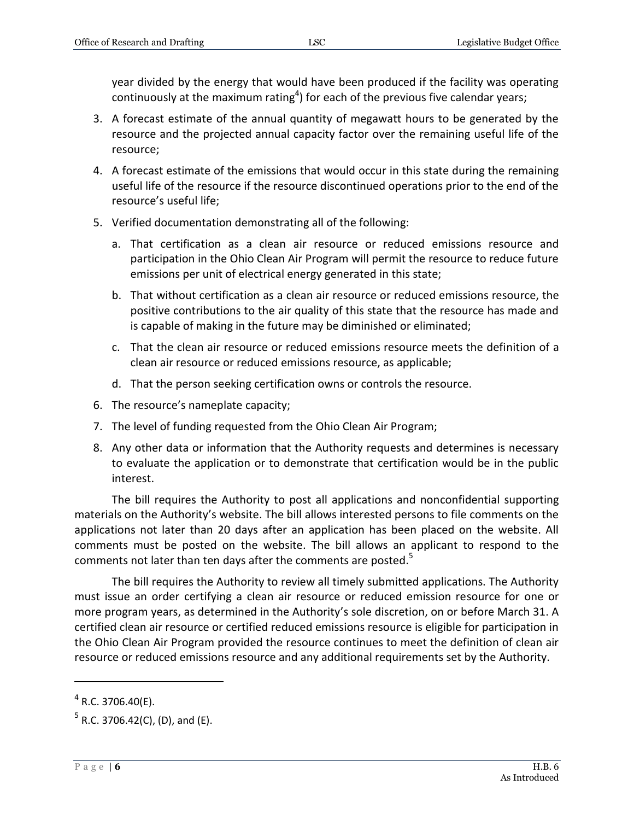year divided by the energy that would have been produced if the facility was operating continuously at the maximum rating<sup>4</sup>) for each of the previous five calendar years;

- 3. A forecast estimate of the annual quantity of megawatt hours to be generated by the resource and the projected annual capacity factor over the remaining useful life of the resource;
- 4. A forecast estimate of the emissions that would occur in this state during the remaining useful life of the resource if the resource discontinued operations prior to the end of the resource's useful life;
- 5. Verified documentation demonstrating all of the following:
	- a. That certification as a clean air resource or reduced emissions resource and participation in the Ohio Clean Air Program will permit the resource to reduce future emissions per unit of electrical energy generated in this state;
	- b. That without certification as a clean air resource or reduced emissions resource, the positive contributions to the air quality of this state that the resource has made and is capable of making in the future may be diminished or eliminated;
	- c. That the clean air resource or reduced emissions resource meets the definition of a clean air resource or reduced emissions resource, as applicable;
	- d. That the person seeking certification owns or controls the resource.
- 6. The resource's nameplate capacity;
- 7. The level of funding requested from the Ohio Clean Air Program;
- 8. Any other data or information that the Authority requests and determines is necessary to evaluate the application or to demonstrate that certification would be in the public interest.

The bill requires the Authority to post all applications and nonconfidential supporting materials on the Authority's website. The bill allows interested persons to file comments on the applications not later than 20 days after an application has been placed on the website. All comments must be posted on the website. The bill allows an applicant to respond to the comments not later than ten days after the comments are posted.<sup>5</sup>

The bill requires the Authority to review all timely submitted applications. The Authority must issue an order certifying a clean air resource or reduced emission resource for one or more program years, as determined in the Authority's sole discretion, on or before March 31. A certified clean air resource or certified reduced emissions resource is eligible for participation in the Ohio Clean Air Program provided the resource continues to meet the definition of clean air resource or reduced emissions resource and any additional requirements set by the Authority.

 $4$  R.C. 3706.40(E).

 $^5$  R.C. 3706.42(C), (D), and (E).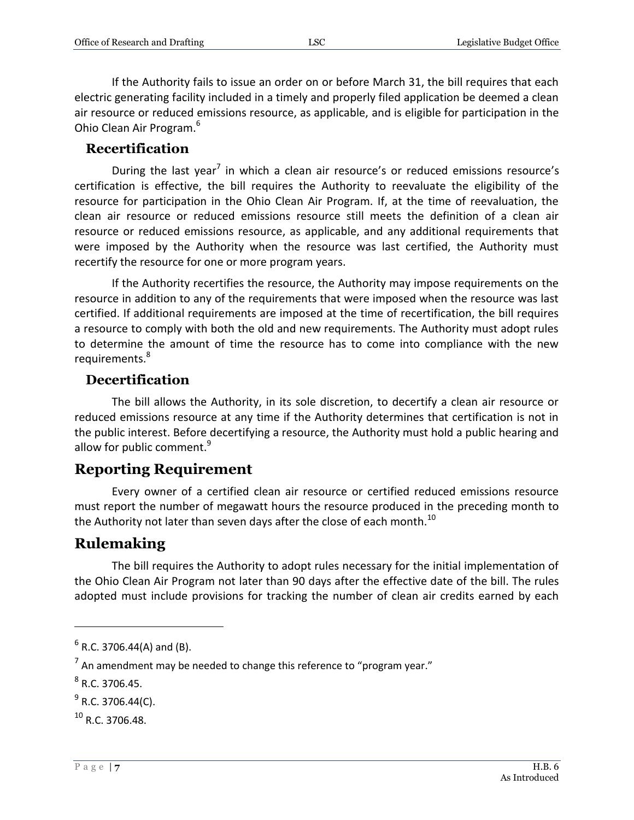If the Authority fails to issue an order on or before March 31, the bill requires that each electric generating facility included in a timely and properly filed application be deemed a clean air resource or reduced emissions resource, as applicable, and is eligible for participation in the Ohio Clean Air Program.<sup>6</sup>

#### <span id="page-6-0"></span>**Recertification**

During the last year<sup>7</sup> in which a clean air resource's or reduced emissions resource's certification is effective, the bill requires the Authority to reevaluate the eligibility of the resource for participation in the Ohio Clean Air Program. If, at the time of reevaluation, the clean air resource or reduced emissions resource still meets the definition of a clean air resource or reduced emissions resource, as applicable, and any additional requirements that were imposed by the Authority when the resource was last certified, the Authority must recertify the resource for one or more program years.

If the Authority recertifies the resource, the Authority may impose requirements on the resource in addition to any of the requirements that were imposed when the resource was last certified. If additional requirements are imposed at the time of recertification, the bill requires a resource to comply with both the old and new requirements. The Authority must adopt rules to determine the amount of time the resource has to come into compliance with the new requirements.<sup>8</sup>

#### <span id="page-6-1"></span>**Decertification**

The bill allows the Authority, in its sole discretion, to decertify a clean air resource or reduced emissions resource at any time if the Authority determines that certification is not in the public interest. Before decertifying a resource, the Authority must hold a public hearing and allow for public comment.<sup>9</sup>

## <span id="page-6-2"></span>**Reporting Requirement**

Every owner of a certified clean air resource or certified reduced emissions resource must report the number of megawatt hours the resource produced in the preceding month to the Authority not later than seven days after the close of each month.<sup>10</sup>

## <span id="page-6-3"></span>**Rulemaking**

The bill requires the Authority to adopt rules necessary for the initial implementation of the Ohio Clean Air Program not later than 90 days after the effective date of the bill. The rules adopted must include provisions for tracking the number of clean air credits earned by each

 $^6$  R.C. 3706.44(A) and (B).

<sup>&</sup>lt;sup>7</sup> An amendment may be needed to change this reference to "program year."

 $^8$  R.C. 3706.45.

 $^{9}$  R.C. 3706.44(C).

 $10 R$  C. 3706.48.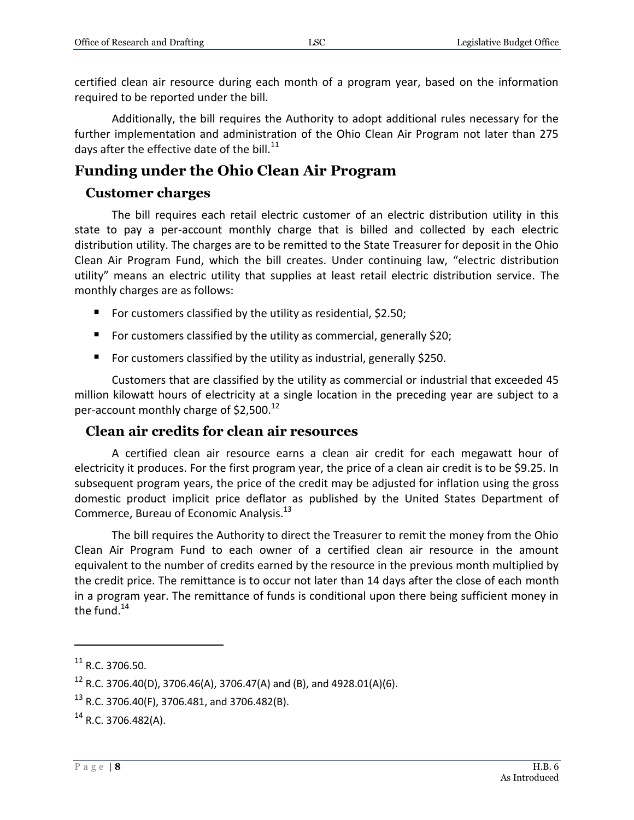certified clean air resource during each month of a program year, based on the information required to be reported under the bill.

Additionally, the bill requires the Authority to adopt additional rules necessary for the further implementation and administration of the Ohio Clean Air Program not later than 275 days after the effective date of the bill. $^{11}$ 

## <span id="page-7-0"></span>**Funding under the Ohio Clean Air Program**

## <span id="page-7-1"></span>**Customer charges**

The bill requires each retail electric customer of an electric distribution utility in this state to pay a per-account monthly charge that is billed and collected by each electric distribution utility. The charges are to be remitted to the State Treasurer for deposit in the Ohio Clean Air Program Fund, which the bill creates. Under continuing law, "electric distribution utility" means an electric utility that supplies at least retail electric distribution service. The monthly charges are as follows:

- For customers classified by the utility as residential,  $$2.50;$
- For customers classified by the utility as commercial, generally \$20;
- For customers classified by the utility as industrial, generally \$250.

Customers that are classified by the utility as commercial or industrial that exceeded 45 million kilowatt hours of electricity at a single location in the preceding year are subject to a per-account monthly charge of  $$2,500.<sup>12</sup>$ 

## <span id="page-7-2"></span>**Clean air credits for clean air resources**

A certified clean air resource earns a clean air credit for each megawatt hour of electricity it produces. For the first program year, the price of a clean air credit is to be \$9.25. In subsequent program years, the price of the credit may be adjusted for inflation using the gross domestic product implicit price deflator as published by the United States Department of Commerce, Bureau of Economic Analysis.<sup>13</sup>

The bill requires the Authority to direct the Treasurer to remit the money from the Ohio Clean Air Program Fund to each owner of a certified clean air resource in the amount equivalent to the number of credits earned by the resource in the previous month multiplied by the credit price. The remittance is to occur not later than 14 days after the close of each month in a program year. The remittance of funds is conditional upon there being sufficient money in the fund. $14$ 

<sup>11</sup> R.C. 3706.50.

 $12$  R.C. 3706.40(D), 3706.46(A), 3706.47(A) and (B), and 4928.01(A)(6).

 $13$  R.C. 3706.40(F), 3706.481, and 3706.482(B).

 $^{14}$  R.C. 3706.482(A).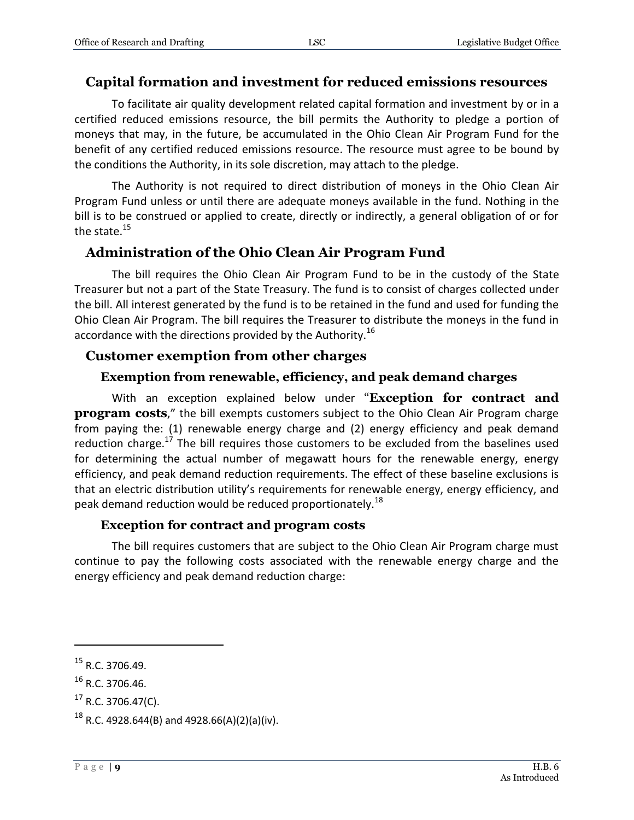#### <span id="page-8-0"></span>**Capital formation and investment for reduced emissions resources**

To facilitate air quality development related capital formation and investment by or in a certified reduced emissions resource, the bill permits the Authority to pledge a portion of moneys that may, in the future, be accumulated in the Ohio Clean Air Program Fund for the benefit of any certified reduced emissions resource. The resource must agree to be bound by the conditions the Authority, in its sole discretion, may attach to the pledge.

The Authority is not required to direct distribution of moneys in the Ohio Clean Air Program Fund unless or until there are adequate moneys available in the fund. Nothing in the bill is to be construed or applied to create, directly or indirectly, a general obligation of or for the state.<sup>15</sup>

#### <span id="page-8-1"></span>**Administration of the Ohio Clean Air Program Fund**

The bill requires the Ohio Clean Air Program Fund to be in the custody of the State Treasurer but not a part of the State Treasury. The fund is to consist of charges collected under the bill. All interest generated by the fund is to be retained in the fund and used for funding the Ohio Clean Air Program. The bill requires the Treasurer to distribute the moneys in the fund in accordance with the directions provided by the Authority.<sup>16</sup>

#### <span id="page-8-2"></span>**Customer exemption from other charges**

#### **Exemption from renewable, efficiency, and peak demand charges**

<span id="page-8-3"></span>With an exception explained below under "**Exception for contract and program costs**," the bill exempts customers subject to the Ohio Clean Air Program charge from paying the: (1) renewable energy charge and (2) energy efficiency and peak demand reduction charge.<sup>17</sup> The bill requires those customers to be excluded from the baselines used for determining the actual number of megawatt hours for the renewable energy, energy efficiency, and peak demand reduction requirements. The effect of these baseline exclusions is that an electric distribution utility's requirements for renewable energy, energy efficiency, and peak demand reduction would be reduced proportionately.<sup>18</sup>

#### **Exception for contract and program costs**

<span id="page-8-4"></span>The bill requires customers that are subject to the Ohio Clean Air Program charge must continue to pay the following costs associated with the renewable energy charge and the energy efficiency and peak demand reduction charge:

<sup>15</sup> R.C. 3706.49.

 $16$  R.C. 3706.46.

 $17$  R.C. 3706.47(C).

 $^{18}$  R.C. 4928.644(B) and 4928.66(A)(2)(a)(iv).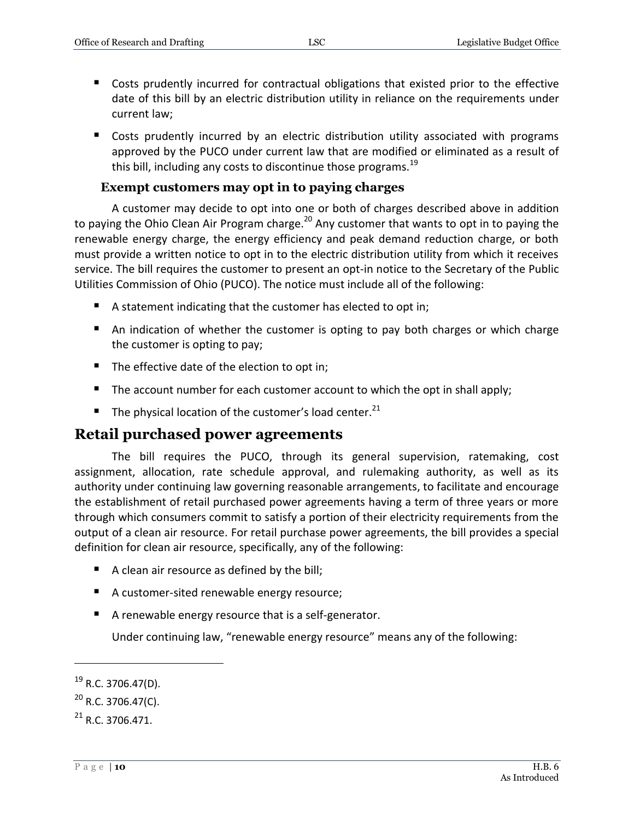- Costs prudently incurred for contractual obligations that existed prior to the effective date of this bill by an electric distribution utility in reliance on the requirements under current law;
- **E** Costs prudently incurred by an electric distribution utility associated with programs approved by the PUCO under current law that are modified or eliminated as a result of this bill, including any costs to discontinue those programs.<sup>19</sup>

#### **Exempt customers may opt in to paying charges**

<span id="page-9-0"></span>A customer may decide to opt into one or both of charges described above in addition to paying the Ohio Clean Air Program charge.<sup>20</sup> Any customer that wants to opt in to paying the renewable energy charge, the energy efficiency and peak demand reduction charge, or both must provide a written notice to opt in to the electric distribution utility from which it receives service. The bill requires the customer to present an opt-in notice to the Secretary of the Public Utilities Commission of Ohio (PUCO). The notice must include all of the following:

- A statement indicating that the customer has elected to opt in;
- An indication of whether the customer is opting to pay both charges or which charge the customer is opting to pay;
- The effective date of the election to opt in;
- The account number for each customer account to which the opt in shall apply;
- The physical location of the customer's load center.<sup>21</sup>

#### <span id="page-9-1"></span>**Retail purchased power agreements**

The bill requires the PUCO, through its general supervision, ratemaking, cost assignment, allocation, rate schedule approval, and rulemaking authority, as well as its authority under continuing law governing reasonable arrangements, to facilitate and encourage the establishment of retail purchased power agreements having a term of three years or more through which consumers commit to satisfy a portion of their electricity requirements from the output of a clean air resource. For retail purchase power agreements, the bill provides a special definition for clean air resource, specifically, any of the following:

- A clean air resource as defined by the bill;
- A customer-sited renewable energy resource;
- A renewable energy resource that is a self-generator.

Under continuing law, "renewable energy resource" means any of the following:

 $^{19}$  R.C. 3706.47(D).

 $^{20}$  R.C. 3706.47(C).

 $^{21}$  R.C. 3706.471.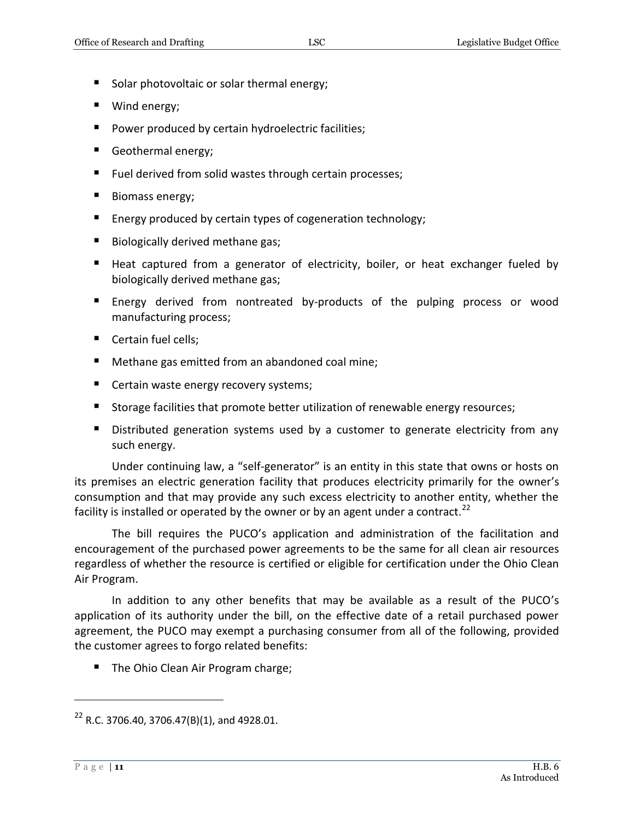- Solar photovoltaic or solar thermal energy;
- Wind energy;
- **P** Power produced by certain hydroelectric facilities;
- Geothermal energy;
- Fuel derived from solid wastes through certain processes;
- Biomass energy;
- **Energy produced by certain types of cogeneration technology;**
- Biologically derived methane gas;
- Heat captured from a generator of electricity, boiler, or heat exchanger fueled by biologically derived methane gas;
- **Energy derived from nontreated by-products of the pulping process or wood** manufacturing process;
- Certain fuel cells;
- Methane gas emitted from an abandoned coal mine;
- **Certain waste energy recovery systems;**
- Storage facilities that promote better utilization of renewable energy resources;
- **Distributed generation systems used by a customer to generate electricity from any** such energy.

Under continuing law, a "self-generator" is an entity in this state that owns or hosts on its premises an electric generation facility that produces electricity primarily for the owner's consumption and that may provide any such excess electricity to another entity, whether the facility is installed or operated by the owner or by an agent under a contract.<sup>22</sup>

The bill requires the PUCO's application and administration of the facilitation and encouragement of the purchased power agreements to be the same for all clean air resources regardless of whether the resource is certified or eligible for certification under the Ohio Clean Air Program.

In addition to any other benefits that may be available as a result of the PUCO's application of its authority under the bill, on the effective date of a retail purchased power agreement, the PUCO may exempt a purchasing consumer from all of the following, provided the customer agrees to forgo related benefits:

■ The Ohio Clean Air Program charge;

 $22$  R.C. 3706.40, 3706.47(B)(1), and 4928.01.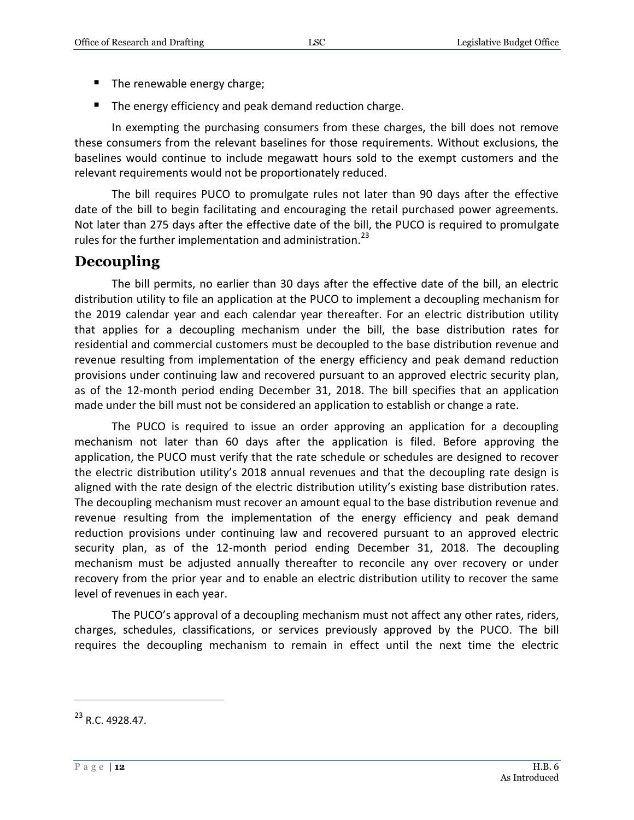- The renewable energy charge;
- The energy efficiency and peak demand reduction charge.

In exempting the purchasing consumers from these charges, the bill does not remove these consumers from the relevant baselines for those requirements. Without exclusions, the baselines would continue to include megawatt hours sold to the exempt customers and the relevant requirements would not be proportionately reduced.

The bill requires PUCO to promulgate rules not later than 90 days after the effective date of the bill to begin facilitating and encouraging the retail purchased power agreements. Not later than 275 days after the effective date of the bill, the PUCO is required to promulgate rules for the further implementation and administration. $^{23}$ 

## <span id="page-11-0"></span>**Decoupling**

The bill permits, no earlier than 30 days after the effective date of the bill, an electric distribution utility to file an application at the PUCO to implement a decoupling mechanism for the 2019 calendar year and each calendar year thereafter. For an electric distribution utility that applies for a decoupling mechanism under the bill, the base distribution rates for residential and commercial customers must be decoupled to the base distribution revenue and revenue resulting from implementation of the energy efficiency and peak demand reduction provisions under continuing law and recovered pursuant to an approved electric security plan, as of the 12-month period ending December 31, 2018. The bill specifies that an application made under the bill must not be considered an application to establish or change a rate.

The PUCO is required to issue an order approving an application for a decoupling mechanism not later than 60 days after the application is filed. Before approving the application, the PUCO must verify that the rate schedule or schedules are designed to recover the electric distribution utility's 2018 annual revenues and that the decoupling rate design is aligned with the rate design of the electric distribution utility's existing base distribution rates. The decoupling mechanism must recover an amount equal to the base distribution revenue and revenue resulting from the implementation of the energy efficiency and peak demand reduction provisions under continuing law and recovered pursuant to an approved electric security plan, as of the 12-month period ending December 31, 2018. The decoupling mechanism must be adjusted annually thereafter to reconcile any over recovery or under recovery from the prior year and to enable an electric distribution utility to recover the same level of revenues in each year.

The PUCO's approval of a decoupling mechanism must not affect any other rates, riders, charges, schedules, classifications, or services previously approved by the PUCO. The bill requires the decoupling mechanism to remain in effect until the next time the electric

<sup>&</sup>lt;sup>23</sup> R.C. 4928.47.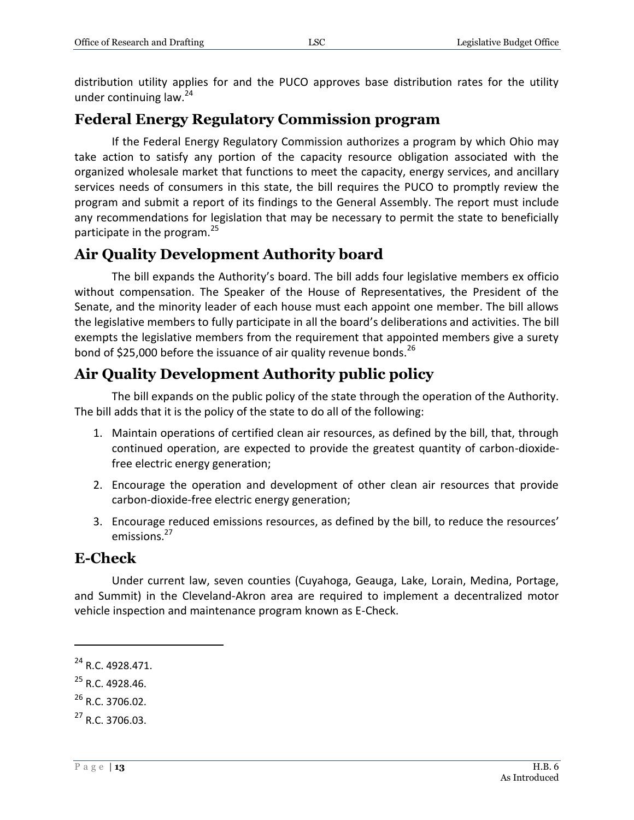distribution utility applies for and the PUCO approves base distribution rates for the utility under continuing law.<sup>24</sup>

#### <span id="page-12-0"></span>**Federal Energy Regulatory Commission program**

If the Federal Energy Regulatory Commission authorizes a program by which Ohio may take action to satisfy any portion of the capacity resource obligation associated with the organized wholesale market that functions to meet the capacity, energy services, and ancillary services needs of consumers in this state, the bill requires the PUCO to promptly review the program and submit a report of its findings to the General Assembly. The report must include any recommendations for legislation that may be necessary to permit the state to beneficially participate in the program.<sup>25</sup>

#### <span id="page-12-1"></span>**Air Quality Development Authority board**

The bill expands the Authority's board. The bill adds four legislative members ex officio without compensation. The Speaker of the House of Representatives, the President of the Senate, and the minority leader of each house must each appoint one member. The bill allows the legislative members to fully participate in all the board's deliberations and activities. The bill exempts the legislative members from the requirement that appointed members give a surety bond of \$25,000 before the issuance of air quality revenue bonds.<sup>26</sup>

## <span id="page-12-2"></span>**Air Quality Development Authority public policy**

The bill expands on the public policy of the state through the operation of the Authority. The bill adds that it is the policy of the state to do all of the following:

- 1. Maintain operations of certified clean air resources, as defined by the bill, that, through continued operation, are expected to provide the greatest quantity of carbon-dioxidefree electric energy generation;
- 2. Encourage the operation and development of other clean air resources that provide carbon-dioxide-free electric energy generation;
- 3. Encourage reduced emissions resources, as defined by the bill, to reduce the resources' emissions.<sup>27</sup>

#### <span id="page-12-3"></span>**E-Check**

Under current law, seven counties (Cuyahoga, Geauga, Lake, Lorain, Medina, Portage, and Summit) in the Cleveland-Akron area are required to implement a decentralized motor vehicle inspection and maintenance program known as E-Check.

 $\overline{a}$ 

 $^{25}$  R.C. 4928.46.

<sup>24</sup> R.C. 4928.471.

 $^{26}$  R.C. 3706.02.

<sup>27</sup> R.C. 3706.03.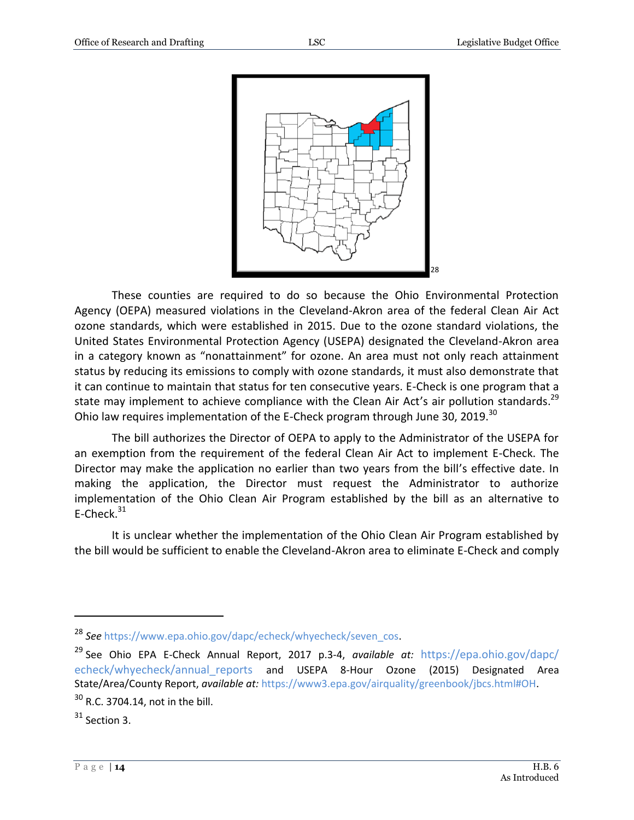

These counties are required to do so because the Ohio Environmental Protection Agency (OEPA) measured violations in the Cleveland-Akron area of the federal Clean Air Act ozone standards, which were established in 2015. Due to the ozone standard violations, the United States Environmental Protection Agency (USEPA) designated the Cleveland-Akron area in a category known as "nonattainment" for ozone. An area must not only reach attainment status by reducing its emissions to comply with ozone standards, it must also demonstrate that it can continue to maintain that status for ten consecutive years. E-Check is one program that a state may implement to achieve compliance with the Clean Air Act's air pollution standards.<sup>29</sup> Ohio law requires implementation of the E-Check program through June 30, 2019.<sup>30</sup>

The bill authorizes the Director of OEPA to apply to the Administrator of the USEPA for an exemption from the requirement of the federal Clean Air Act to implement E-Check. The Director may make the application no earlier than two years from the bill's effective date. In making the application, the Director must request the Administrator to authorize implementation of the Ohio Clean Air Program established by the bill as an alternative to E-Check. $31$ 

It is unclear whether the implementation of the Ohio Clean Air Program established by the bill would be sufficient to enable the Cleveland-Akron area to eliminate E-Check and comply

<sup>28</sup> *See* [https://www.epa.ohio.gov/dapc/echeck/whyecheck/seven\\_cos.](https://www.epa.ohio.gov/dapc/echeck/whyecheck/seven_cos)

<sup>29</sup> See Ohio EPA E-Check Annual Report, 2017 p.3-4, *available at:* [https://epa.ohio.gov/dapc/](https://epa.ohio.gov/dapc/%20echeck/whyecheck/annual_reports) echeck/whyecheck/annual reports and USEPA 8-Hour Ozone (2015) Designated Area State/Area/County Report, *available at:* [https://www3.epa.gov/airquality/greenbook/jbcs.html#OH.](https://www3.epa.gov/airquality/greenbook/jbcs.html#OH)

 $30$  R.C. 3704.14, not in the bill.

 $31$  Section 3.